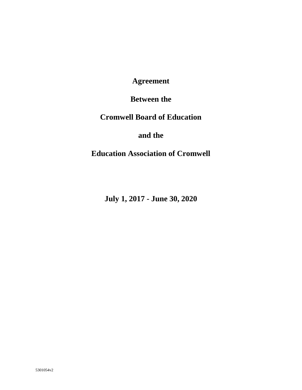**Agreement**

**Between the**

**Cromwell Board of Education**

**and the**

**Education Association of Cromwell**

**July 1, 2017 - June 30, 2020**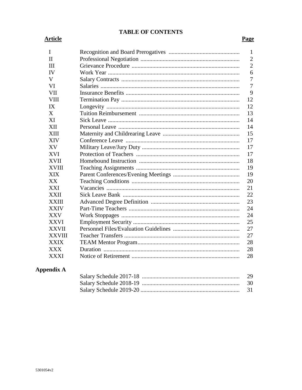## **TABLE OF CONTENTS**

# **Article**

## **Page**

| I             | 1              |
|---------------|----------------|
| $\mathbf{I}$  | $\overline{2}$ |
| Ш             | $\overline{2}$ |
| IV            | 6              |
| V             | 7              |
| VI            | 7              |
| <b>VII</b>    | 9              |
| <b>VIII</b>   | 12             |
| IX            | 12             |
| X             | 13             |
| XI            | 14             |
| <b>XII</b>    | 14             |
| XIII          | 15             |
| <b>XIV</b>    | 17             |
| XV            | 17             |
| <b>XVI</b>    | 17             |
| <b>XVII</b>   | 18             |
| XVIII         | 19             |
| <b>XIX</b>    | 19             |
| XX            | 20             |
| XXI           | 21             |
| XXII          | 22             |
| XXIII         | 23             |
| <b>XXIV</b>   | 24             |
| XXV           | 24             |
| XXVI          | 25             |
| <b>XXVII</b>  | 27             |
| <b>XXVIII</b> | 27             |
| <b>XXIX</b>   | 28             |
| XXX           | 28             |
| <b>XXXI</b>   | 28             |

# **Appendix A**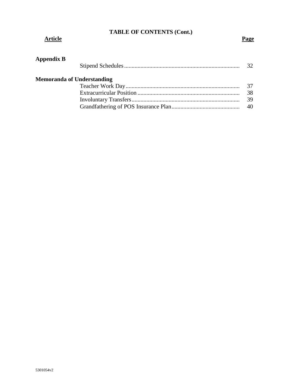## **TABLE OF CONTENTS (Cont.)**

#### **Article Page**

| <b>Appendix B</b> |
|-------------------|
|-------------------|

| <b>Memoranda of Understanding</b> |      |
|-----------------------------------|------|
|                                   | - 37 |
|                                   | 38   |
|                                   | 39   |
|                                   |      |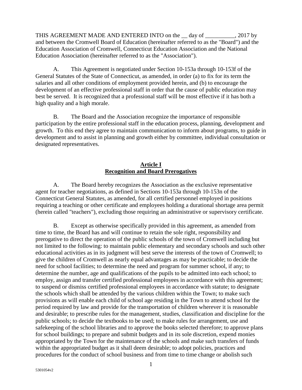THIS AGREEMENT MADE AND ENTERED INTO on the day of . 2017 by and between the Cromwell Board of Education (hereinafter referred to as the "Board") and the Education Association of Cromwell, Connecticut Education Association and the National Education Association (hereinafter referred to as the "Association").

A. This Agreement is negotiated under Section 10-153a through 10-153f of the General Statutes of the State of Connecticut, as amended, in order (a) to fix for its term the salaries and all other conditions of employment provided herein, and (b) to encourage the development of an effective professional staff in order that the cause of public education may best be served. It is recognized that a professional staff will be most effective if it has both a high quality and a high morale.

B. The Board and the Association recognize the importance of responsible participation by the entire professional staff in the education process, planning, development and growth. To this end they agree to maintain communication to inform about programs, to guide in development and to assist in planning and growth either by committee, individual consultation or designated representatives.

## **Article I Recognition and Board Prerogatives**

A. The Board hereby recognizes the Association as the exclusive representative agent for teacher negotiations, as defined in Sections 10-153a through 10-153n of the Connecticut General Statutes, as amended, for all certified personnel employed in positions requiring a teaching or other certificate and employees holding a durational shortage area permit (herein called "teachers"), excluding those requiring an administrative or supervisory certificate.

B. Except as otherwise specifically provided in this agreement, as amended from time to time, the Board has and will continue to retain the sole right, responsibility and prerogative to direct the operation of the public schools of the town of Cromwell including but not limited to the following: to maintain public elementary and secondary schools and such other educational activities as in its judgment will best serve the interests of the town of Cromwell; to give the children of Cromwell as nearly equal advantages as may be practicable; to decide the need for school facilities; to determine the need and program for summer school, if any; to determine the number, age and qualifications of the pupils to be admitted into each school; to employ, assign and transfer certified professional employees in accordance with this agreement; to suspend or dismiss certified professional employees in accordance with statute; to designate the schools which shall be attended by the various children within the Town; to make such provisions as will enable each child of school age residing in the Town to attend school for the period required by law and provide for the transportation of children wherever it is reasonable and desirable; to prescribe rules for the management, studies, classification and discipline for the public schools; to decide the textbooks to be used; to make rules for arrangement, use and safekeeping of the school libraries and to approve the books selected therefore; to approve plans for school buildings; to prepare and submit budgets and in its sole discretion, expend monies appropriated by the Town for the maintenance of the schools and make such transfers of funds within the appropriated budget as it shall deem desirable; to adopt policies, practices and procedures for the conduct of school business and from time to time change or abolish such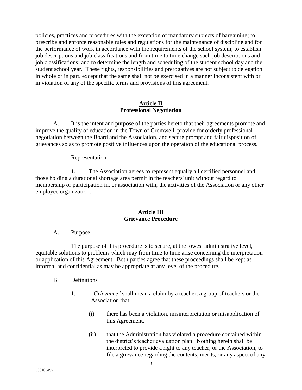policies, practices and procedures with the exception of mandatory subjects of bargaining; to prescribe and enforce reasonable rules and regulations for the maintenance of discipline and for the performance of work in accordance with the requirements of the school system; to establish job descriptions and job classifications and from time to time change such job descriptions and job classifications; and to determine the length and scheduling of the student school day and the student school year. These rights, responsibilities and prerogatives are not subject to delegation in whole or in part, except that the same shall not be exercised in a manner inconsistent with or in violation of any of the specific terms and provisions of this agreement.

#### **Article II Professional Negotiation**

A. It is the intent and purpose of the parties hereto that their agreements promote and improve the quality of education in the Town of Cromwell, provide for orderly professional negotiation between the Board and the Association, and secure prompt and fair disposition of grievances so as to promote positive influences upon the operation of the educational process.

#### Representation

1. The Association agrees to represent equally all certified personnel and those holding a durational shortage area permit in the teachers' unit without regard to membership or participation in, or association with, the activities of the Association or any other employee organization.

#### **Article III Grievance Procedure**

#### A. Purpose

The purpose of this procedure is to secure, at the lowest administrative level, equitable solutions to problems which may from time to time arise concerning the interpretation or application of this Agreement. Both parties agree that these proceedings shall be kept as informal and confidential as may be appropriate at any level of the procedure.

- B. Definitions
	- 1. *"Grievance"* shall mean a claim by a teacher, a group of teachers or the Association that:
		- (i) there has been a violation, misinterpretation or misapplication of this Agreement.
		- (ii) that the Administration has violated a procedure contained within the district's teacher evaluation plan. Nothing herein shall be interpreted to provide a right to any teacher, or the Association, to file a grievance regarding the contents, merits, or any aspect of any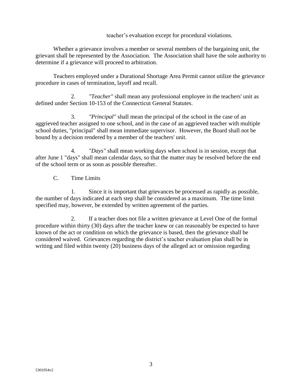#### teacher's evaluation except for procedural violations.

Whether a grievance involves a member or several members of the bargaining unit, the grievant shall be represented by the Association. The Association shall have the sole authority to determine if a grievance will proceed to arbitration.

Teachers employed under a Durational Shortage Area Permit cannot utilize the grievance procedure in cases of termination, layoff and recall.

2. *"Teacher"* shall mean any professional employee in the teachers' unit as defined under Section 10-153 of the Connecticut General Statutes.

3. *"Principal"* shall mean the principal of the school in the case of an aggrieved teacher assigned to one school, and in the case of an aggrieved teacher with multiple school duties, "principal" shall mean immediate supervisor. However, the Board shall not be bound by a decision rendered by a member of the teachers' unit.

4. *"Days"* shall mean working days when school is in session, except that after June 1 "days" shall mean calendar days, so that the matter may be resolved before the end of the school term or as soon as possible thereafter.

## C. Time Limits

1. Since it is important that grievances be processed as rapidly as possible, the number of days indicated at each step shall be considered as a maximum. The time limit specified may, however, be extended by written agreement of the parties.

2. If a teacher does not file a written grievance at Level One of the formal procedure within thirty (30) days after the teacher knew or can reasonably be expected to have known of the act or condition on which the grievance is based, then the grievance shall be considered waived. Grievances regarding the district's teacher evaluation plan shall be in writing and filed within twenty (20) business days of the alleged act or omission regarding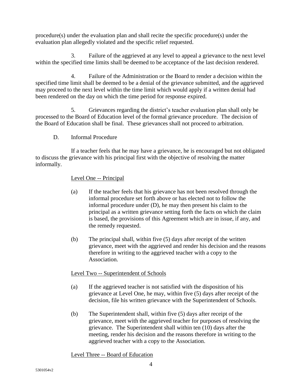procedure(s) under the evaluation plan and shall recite the specific procedure(s) under the evaluation plan allegedly violated and the specific relief requested.

3. Failure of the aggrieved at any level to appeal a grievance to the next level within the specified time limits shall be deemed to be acceptance of the last decision rendered.

4. Failure of the Administration or the Board to render a decision within the specified time limit shall be deemed to be a denial of the grievance submitted, and the aggrieved may proceed to the next level within the time limit which would apply if a written denial had been rendered on the day on which the time period for response expired.

5. Grievances regarding the district's teacher evaluation plan shall only be processed to the Board of Education level of the formal grievance procedure. The decision of the Board of Education shall be final. These grievances shall not proceed to arbitration.

D. Informal Procedure

If a teacher feels that he may have a grievance, he is encouraged but not obligated to discuss the grievance with his principal first with the objective of resolving the matter informally.

## Level One -- Principal

- (a) If the teacher feels that his grievance has not been resolved through the informal procedure set forth above or has elected not to follow the informal procedure under (D), he may then present his claim to the principal as a written grievance setting forth the facts on which the claim is based, the provisions of this Agreement which are in issue, if any, and the remedy requested.
- (b) The principal shall, within five (5) days after receipt of the written grievance, meet with the aggrieved and render his decision and the reasons therefore in writing to the aggrieved teacher with a copy to the Association.

## Level Two -- Superintendent of Schools

- (a) If the aggrieved teacher is not satisfied with the disposition of his grievance at Level One, he may, within five (5) days after receipt of the decision, file his written grievance with the Superintendent of Schools.
- (b) The Superintendent shall, within five (5) days after receipt of the grievance, meet with the aggrieved teacher for purposes of resolving the grievance. The Superintendent shall within ten (10) days after the meeting, render his decision and the reasons therefore in writing to the aggrieved teacher with a copy to the Association.

Level Three -- Board of Education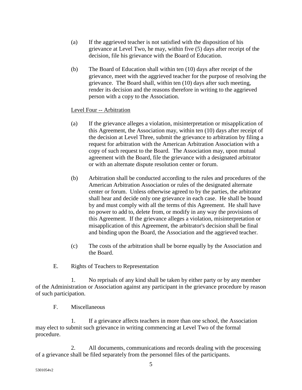- (a) If the aggrieved teacher is not satisfied with the disposition of his grievance at Level Two, he may, within five (5) days after receipt of the decision, file his grievance with the Board of Education.
- (b) The Board of Education shall within ten (10) days after receipt of the grievance, meet with the aggrieved teacher for the purpose of resolving the grievance. The Board shall, within ten (10) days after such meeting, render its decision and the reasons therefore in writing to the aggrieved person with a copy to the Association.

#### Level Four -- Arbitration

- (a) If the grievance alleges a violation, misinterpretation or misapplication of this Agreement, the Association may, within ten (10) days after receipt of the decision at Level Three, submit the grievance to arbitration by filing a request for arbitration with the American Arbitration Association with a copy of such request to the Board. The Association may, upon mutual agreement with the Board, file the grievance with a designated arbitrator or with an alternate dispute resolution center or forum.
- (b) Arbitration shall be conducted according to the rules and procedures of the American Arbitration Association or rules of the designated alternate center or forum. Unless otherwise agreed to by the parties, the arbitrator shall hear and decide only one grievance in each case. He shall be bound by and must comply with all the terms of this Agreement. He shall have no power to add to, delete from, or modify in any way the provisions of this Agreement. If the grievance alleges a violation, misinterpretation or misapplication of this Agreement, the arbitrator's decision shall be final and binding upon the Board, the Association and the aggrieved teacher.
- (c) The costs of the arbitration shall be borne equally by the Association and the Board.
- E. Rights of Teachers to Representation

1. No reprisals of any kind shall be taken by either party or by any member of the Administration or Association against any participant in the grievance procedure by reason of such participation.

F. Miscellaneous

1. If a grievance affects teachers in more than one school, the Association may elect to submit such grievance in writing commencing at Level Two of the formal procedure.

2. All documents, communications and records dealing with the processing of a grievance shall be filed separately from the personnel files of the participants.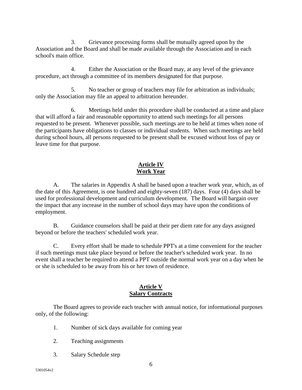3. Grievance processing forms shall be mutually agreed upon by the Association and the Board and shall be made available through the Association and in each school's main office.

4. Either the Association or the Board may, at any level of the grievance procedure, act through a committee of its members designated for that purpose.

5. No teacher or group of teachers may file for arbitration as individuals; only the Association may file an appeal to arbitration hereunder.

6. Meetings held under this procedure shall be conducted at a time and place that will afford a fair and reasonable opportunity to attend such meetings for all persons requested to be present. Whenever possible, such meetings are to be held at times when none of the participants have obligations to classes or individual students. When such meetings are held during school hours, all persons requested to be present shall be excused without loss of pay or leave time for that purpose.

## **Article IV Work Year**

A. The salaries in Appendix A shall be based upon a teacher work year, which, as of the date of this Agreement, is one hundred and eighty-seven (187) days. Four (4) days shall be used for professional development and curriculum development. The Board will bargain over the impact that any increase in the number of school days may have upon the conditions of employment.

B. Guidance counselors shall be paid at their per diem rate for any days assigned beyond or before the teachers' scheduled work year.

C. Every effort shall be made to schedule PPT's at a time convenient for the teacher if such meetings must take place beyond or before the teacher's scheduled work year. In no event shall a teacher be required to attend a PPT outside the normal work year on a day when he or she is scheduled to be away from his or her town of residence.

#### **Article V Salary Contracts**

The Board agrees to provide each teacher with annual notice, for informational purposes only, of the following:

- 1. Number of sick days available for coming year
- 2. Teaching assignments
- 3. Salary Schedule step

5301054v2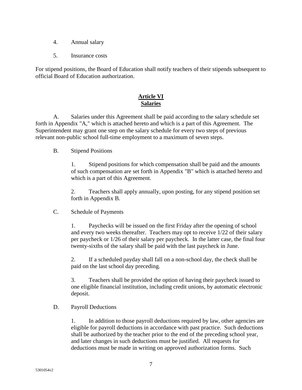- 4. Annual salary
- 5. Insurance costs

For stipend positions, the Board of Education shall notify teachers of their stipends subsequent to official Board of Education authorization.

## **Article VI Salaries**

A. Salaries under this Agreement shall be paid according to the salary schedule set forth in Appendix "A," which is attached hereto and which is a part of this Agreement. The Superintendent may grant one step on the salary schedule for every two steps of previous relevant non-public school full-time employment to a maximum of seven steps.

B. Stipend Positions

1. Stipend positions for which compensation shall be paid and the amounts of such compensation are set forth in Appendix "B" which is attached hereto and which is a part of this Agreement.

2. Teachers shall apply annually, upon posting, for any stipend position set forth in Appendix B.

C. Schedule of Payments

1. Paychecks will be issued on the first Friday after the opening of school and every two weeks thereafter. Teachers may opt to receive 1/22 of their salary per paycheck or 1/26 of their salary per paycheck. In the latter case, the final four twenty-sixths of the salary shall be paid with the last paycheck in June.

2. If a scheduled payday shall fall on a non-school day, the check shall be paid on the last school day preceding.

3. Teachers shall be provided the option of having their paycheck issued to one eligible financial institution, including credit unions, by automatic electronic deposit.

D. Payroll Deductions

1. In addition to those payroll deductions required by law, other agencies are eligible for payroll deductions in accordance with past practice. Such deductions shall be authorized by the teacher prior to the end of the preceding school year, and later changes in such deductions must be justified. All requests for deductions must be made in writing on approved authorization forms. Such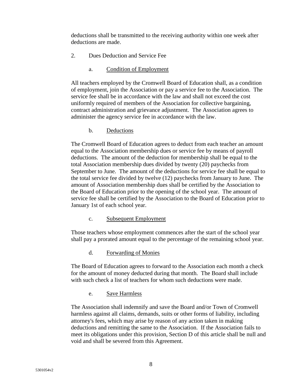deductions shall be transmitted to the receiving authority within one week after deductions are made.

- 2. Dues Deduction and Service Fee
	- a. Condition of Employment

All teachers employed by the Cromwell Board of Education shall, as a condition of employment, join the Association or pay a service fee to the Association. The service fee shall be in accordance with the law and shall not exceed the cost uniformly required of members of the Association for collective bargaining, contract administration and grievance adjustment. The Association agrees to administer the agency service fee in accordance with the law.

b. Deductions

The Cromwell Board of Education agrees to deduct from each teacher an amount equal to the Association membership dues or service fee by means of payroll deductions. The amount of the deduction for membership shall be equal to the total Association membership dues divided by twenty (20) paychecks from September to June. The amount of the deductions for service fee shall be equal to the total service fee divided by twelve (12) paychecks from January to June. The amount of Association membership dues shall be certified by the Association to the Board of Education prior to the opening of the school year. The amount of service fee shall be certified by the Association to the Board of Education prior to January 1st of each school year.

c. Subsequent Employment

Those teachers whose employment commences after the start of the school year shall pay a prorated amount equal to the percentage of the remaining school year.

d. Forwarding of Monies

The Board of Education agrees to forward to the Association each month a check for the amount of money deducted during that month. The Board shall include with such check a list of teachers for whom such deductions were made.

e. Save Harmless

The Association shall indemnify and save the Board and/or Town of Cromwell harmless against all claims, demands, suits or other forms of liability, including attorney's fees, which may arise by reason of any action taken in making deductions and remitting the same to the Association. If the Association fails to meet its obligations under this provision, Section D of this article shall be null and void and shall be severed from this Agreement.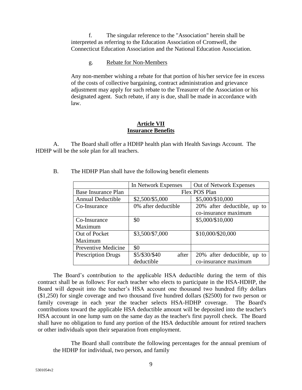f. The singular reference to the "Association" herein shall be interpreted as referring to the Education Association of Cromwell, the Connecticut Education Association and the National Education Association.

#### g. Rebate for Non-Members

Any non-member wishing a rebate for that portion of his/her service fee in excess of the costs of collective bargaining, contract administration and grievance adjustment may apply for such rebate to the Treasurer of the Association or his designated agent. Such rebate, if any is due, shall be made in accordance with law.

#### **Article VII Insurance Benefits**

A. The Board shall offer a HDHP health plan with Health Savings Account. The HDHP will be the sole plan for all teachers.

|                           | In Network Expenses                 | Out of Network Expenses     |  |
|---------------------------|-------------------------------------|-----------------------------|--|
| Base Insurance Plan       |                                     | Flex POS Plan               |  |
| <b>Annual Deductible</b>  | \$2,500/\$5,000<br>\$5,000/\$10,000 |                             |  |
| Co-Insurance              | 0% after deductible                 | 20% after deductible, up to |  |
|                           |                                     | co-insurance maximum        |  |
| Co-Insurance              | \$0                                 | \$5,000/\$10,000            |  |
| Maximum                   |                                     |                             |  |
| Out of Pocket             | \$3,500/\$7,000                     | \$10,000/\$20,000           |  |
| Maximum                   |                                     |                             |  |
| Preventive Medicine       | \$0                                 |                             |  |
| <b>Prescription Drugs</b> | \$5/\$30/\$40<br>after              | 20% after deductible, up to |  |
|                           | deductible                          | co-insurance maximum        |  |

B. The HDHP Plan shall have the following benefit elements

The Board's contribution to the applicable HSA deductible during the term of this contract shall be as follows: For each teacher who elects to participate in the HSA-HDHP, the Board will deposit into the teacher's HSA account one thousand two hundred fifty dollars (\$1,250) for single coverage and two thousand five hundred dollars (\$2500) for two person or family coverage in each year the teacher selects HSA-HDHP coverage. The Board's contributions toward the applicable HSA deductible amount will be deposited into the teacher's HSA account in one lump sum on the same day as the teacher's first payroll check. The Board shall have no obligation to fund any portion of the HSA deductible amount for retired teachers or other individuals upon their separation from employment.

The Board shall contribute the following percentages for the annual premium of the HDHP for individual, two person, and family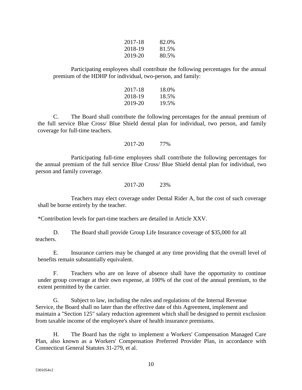| 2017-18 | 82.0% |
|---------|-------|
| 2018-19 | 81.5% |
| 2019-20 | 80.5% |

Participating employees shall contribute the following percentages for the annual premium of the HDHP for individual, two-person, and family:

| 2017-18 | 18.0% |
|---------|-------|
| 2018-19 | 18.5% |
| 2019-20 | 19.5% |

C. The Board shall contribute the following percentages for the annual premium of the full service Blue Cross/ Blue Shield dental plan for individual, two person, and family coverage for full-time teachers.

2017-20 77%

Participating full-time employees shall contribute the following percentages for the annual premium of the full service Blue Cross/ Blue Shield dental plan for individual, two person and family coverage.

2017-20 23%

Teachers may elect coverage under Dental Rider A, but the cost of such coverage shall be borne entirely by the teacher.

\*Contribution levels for part-time teachers are detailed in Article XXV.

D. The Board shall provide Group Life Insurance coverage of \$35,000 for all teachers.

E. Insurance carriers may be changed at any time providing that the overall level of benefits remain substantially equivalent.

F. Teachers who are on leave of absence shall have the opportunity to continue under group coverage at their own expense, at 100% of the cost of the annual premium, to the extent permitted by the carrier.

G. Subject to law, including the rules and regulations of the Internal Revenue Service, the Board shall no later than the effective date of this Agreement, implement and maintain a "Section 125" salary reduction agreement which shall be designed to permit exclusion from taxable income of the employee's share of health insurance premiums.

H. The Board has the right to implement a Workers' Compensation Managed Care Plan, also known as a Workers' Compensation Preferred Provider Plan, in accordance with Connecticut General Statutes 31-279, et al.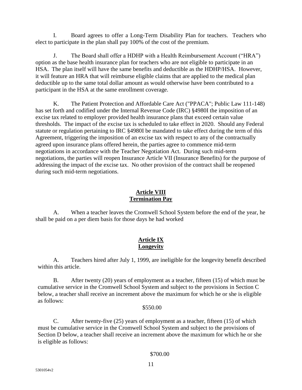I. Board agrees to offer a Long-Term Disability Plan for teachers. Teachers who elect to participate in the plan shall pay 100% of the cost of the premium.

J. The Board shall offer a HDHP with a Health Reimbursement Account ("HRA") option as the base health insurance plan for teachers who are not eligible to participate in an HSA. The plan itself will have the same benefits and deductible as the HDHP/HSA. However, it will feature an HRA that will reimburse eligible claims that are applied to the medical plan deductible up to the same total dollar amount as would otherwise have been contributed to a participant in the HSA at the same enrollment coverage.

K. The Patient Protection and Affordable Care Act ("PPACA"; Public Law 111-148) has set forth and codified under the Internal Revenue Code (IRC) §4980I the imposition of an excise tax related to employer provided health insurance plans that exceed certain value thresholds. The impact of the excise tax is scheduled to take effect in 2020. Should any Federal statute or regulation pertaining to IRC §4980I be mandated to take effect during the term of this Agreement, triggering the imposition of an excise tax with respect to any of the contractually agreed upon insurance plans offered herein, the parties agree to commence mid-term negotiations in accordance with the Teacher Negotiation Act. During such mid-term negotiations, the parties will reopen Insurance Article VII (Insurance Benefits) for the purpose of addressing the impact of the excise tax. No other provision of the contract shall be reopened during such mid-term negotiations.

## **Article VIII Termination Pay**

A. When a teacher leaves the Cromwell School System before the end of the year, he shall be paid on a per diem basis for those days he had worked

## **Article IX Longevity**

A. Teachers hired after July 1, 1999, are ineligible for the longevity benefit described within this article.

B. After twenty (20) years of employment as a teacher, fifteen (15) of which must be cumulative service in the Cromwell School System and subject to the provisions in Section C below, a teacher shall receive an increment above the maximum for which he or she is eligible as follows:

## \$550.00

C. After twenty-five (25) years of employment as a teacher, fifteen (15) of which must be cumulative service in the Cromwell School System and subject to the provisions of Section D below, a teacher shall receive an increment above the maximum for which he or she is eligible as follows:

#### \$700.00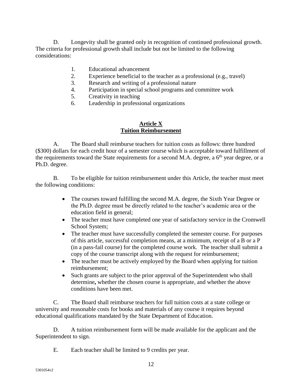D. Longevity shall be granted only in recognition of continued professional growth. The criteria for professional growth shall include but not be limited to the following considerations:

- 1. Educational advancement
- 2. Experience beneficial to the teacher as a professional (e.g., travel)
- 3. Research and writing of a professional nature
- 4. Participation in special school programs and committee work
- 5. Creativity in teaching
- 6. Leadership in professional organizations

#### **Article X Tuition Reimbursement**

A. The Board shall reimburse teachers for tuition costs as follows: three hundred (\$300) dollars for each credit hour of a semester course which is acceptable toward fulfillment of the requirements toward the State requirements for a second M.A. degree, a  $6<sup>th</sup>$  year degree, or a Ph.D. degree.

B. To be eligible for tuition reimbursement under this Article, the teacher must meet the following conditions:

- The courses toward fulfilling the second M.A. degree, the Sixth Year Degree or the Ph.D. degree must be directly related to the teacher's academic area or the education field in general;
- The teacher must have completed one year of satisfactory service in the Cromwell School System;
- The teacher must have successfully completed the semester course. For purposes of this article, successful completion means, at a minimum, receipt of a B or a P (in a pass-fail course) for the completed course work. The teacher shall submit a copy of the course transcript along with the request for reimbursement;
- The teacher must be actively employed by the Board when applying for tuition reimbursement;
- Such grants are subject to the prior approval of the Superintendent who shall determine**,** whether the chosen course is appropriate, and whether the above conditions have been met.

C. The Board shall reimburse teachers for full tuition costs at a state college or university and reasonable costs for books and materials of any course it requires beyond educational qualifications mandated by the State Department of Education.

D. A tuition reimbursement form will be made available for the applicant and the Superintendent to sign.

E. Each teacher shall be limited to 9 credits per year.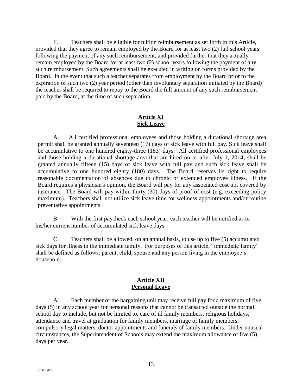F. Teachers shall be eligible for tuition reimbursement as set forth in this Article, provided that they agree to remain employed by the Board for at least two (2) full school years following the payment of any such reimbursement, and provided further that they actually remain employed by the Board for at least two (2) school years following the payment of any such reimbursement. Such agreements shall be executed in writing on forms provided by the Board. In the event that such a teacher separates from employment by the Board prior to the expiration of such two (2) year period (other than involuntary separation initiated by the Board) the teacher shall be required to repay to the Board the full amount of any such reimbursement paid by the Board, at the time of such separation.

## **Article XI Sick Leave**

A. All certified professional employees and those holding a durational shortage area permit shall be granted annually seventeen (17) days of sick leave with full pay. Sick leave shall be accumulative to one hundred eighty-three (183) days. All certified professional employees and those holding a durational shortage area that are hired on or after July 1, 2014, shall be granted annually fifteen (15) days of sick leave with full pay and such sick leave shall be accumulative to one hundred eighty (180) days. The Board reserves its right to require reasonable documentation of absences due to chronic or extended employee illness. If the Board requires a physician's opinion, the Board will pay for any associated cost not covered by insurance. The Board will pay within thirty (30) days of proof of cost (e.g. exceeding policy maximum). Teachers shall not utilize sick leave time for wellness appointments and/or routine preventative appointments.

B. With the first paycheck each school year, each teacher will be notified as to his/her current number of accumulated sick leave days.

C. Teachers shall be allowed, on an annual basis, to use up to five (5) accumulated sick days for illness in the immediate family. For purposes of this article, "immediate family" shall be defined as follows: parent, child, spouse and any person living in the employee's household.

#### **Article XII Personal Leave**

A. Each member of the bargaining unit may receive full pay for a maximum of five days (5) in any school year for personal reasons that cannot be transacted outside the normal school day to include, but not be limited to, care of ill family members, religious holidays, attendance and travel at graduation for family members, marriage of family members, compulsory legal matters, doctor appointments and funerals of family members. Under unusual circumstances, the Superintendent of Schools may extend the maximum allowance of five (5) days per year.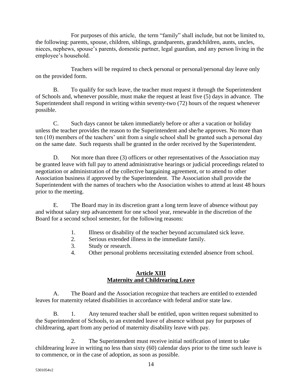For purposes of this article, the term "family" shall include, but not be limited to, the following: parents, spouse, children, siblings, grandparents, grandchildren, aunts, uncles, nieces, nephews, spouse's parents, domestic partner, legal guardian, and any person living in the employee's household.

Teachers will be required to check personal or personal/personal day leave only on the provided form.

B. To qualify for such leave, the teacher must request it through the Superintendent of Schools and, whenever possible, must make the request at least five (5) days in advance. The Superintendent shall respond in writing within seventy-two (72) hours of the request whenever possible.

C. Such days cannot be taken immediately before or after a vacation or holiday unless the teacher provides the reason to the Superintendent and she/he approves. No more than ten (10) members of the teachers' unit from a single school shall be granted such a personal day on the same date. Such requests shall be granted in the order received by the Superintendent.

D. Not more than three (3) officers or other representatives of the Association may be granted leave with full pay to attend administrative hearings or judicial proceedings related to negotiation or administration of the collective bargaining agreement, or to attend to other Association business if approved by the Superintendent. The Association shall provide the Superintendent with the names of teachers who the Association wishes to attend at least 48 hours prior to the meeting.

E. The Board may in its discretion grant a long term leave of absence without pay and without salary step advancement for one school year, renewable in the discretion of the Board for a second school semester, for the following reasons:

- 1. Illness or disability of the teacher beyond accumulated sick leave.
- 2. Serious extended illness in the immediate family.
- 3. Study or research.
- 4. Other personal problems necessitating extended absence from school.

## **Article XIII Maternity and Childrearing Leave**

A. The Board and the Association recognize that teachers are entitled to extended leaves for maternity related disabilities in accordance with federal and/or state law.

B. 1. Any tenured teacher shall be entitled, upon written request submitted to the Superintendent of Schools, to an extended leave of absence without pay for purposes of childrearing, apart from any period of maternity disability leave with pay.

2. The Superintendent must receive initial notification of intent to take childrearing leave in writing no less than sixty (60) calendar days prior to the time such leave is to commence, or in the case of adoption, as soon as possible.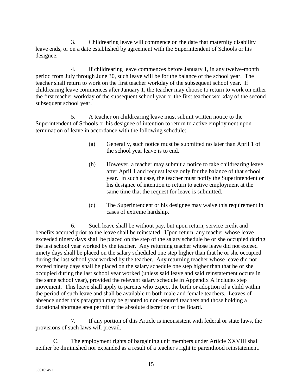3. Childrearing leave will commence on the date that maternity disability leave ends, or on a date established by agreement with the Superintendent of Schools or his designee.

4. If childrearing leave commences before January 1, in any twelve-month period from July through June 30, such leave will be for the balance of the school year. The teacher shall return to work on the first teacher workday of the subsequent school year. If childrearing leave commences after January 1, the teacher may choose to return to work on either the first teacher workday of the subsequent school year or the first teacher workday of the second subsequent school year.

5. A teacher on childrearing leave must submit written notice to the Superintendent of Schools or his designee of intention to return to active employment upon termination of leave in accordance with the following schedule:

- (a) Generally, such notice must be submitted no later than April 1 of the school year leave is to end.
- (b) However, a teacher may submit a notice to take childrearing leave after April 1 and request leave only for the balance of that school year. In such a case, the teacher must notify the Superintendent or his designee of intention to return to active employment at the same time that the request for leave is submitted.
- (c) The Superintendent or his designee may waive this requirement in cases of extreme hardship.

6. Such leave shall be without pay, but upon return, service credit and benefits accrued prior to the leave shall be reinstated. Upon return, any teacher whose leave exceeded ninety days shall be placed on the step of the salary schedule he or she occupied during the last school year worked by the teacher. Any returning teacher whose leave did not exceed ninety days shall be placed on the salary scheduled one step higher than that he or she occupied during the last school year worked by the teacher. Any returning teacher whose leave did not exceed ninety days shall be placed on the salary schedule one step higher than that he or she occupied during the last school year worked (unless said leave and said reinstatement occurs in the same school year), provided the relevant salary schedule in Appendix A includes step movement. This leave shall apply to parents who expect the birth or adoption of a child within the period of such leave and shall be available to both male and female teachers. Leaves of absence under this paragraph may be granted to non-tenured teachers and those holding a durational shortage area permit at the absolute discretion of the Board.

7. If any portion of this Article is inconsistent with federal or state laws, the provisions of such laws will prevail.

C. The employment rights of bargaining unit members under Article XXVIII shall neither be diminished nor expanded as a result of a teacher's right to parenthood reinstatement.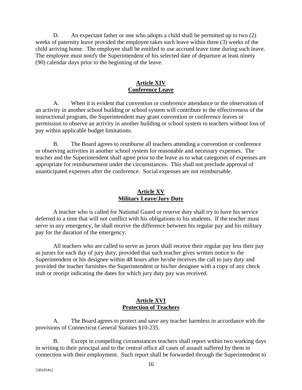D. An expectant father or one who adopts a child shall be permitted up to two (2) weeks of paternity leave provided the employee takes such leave within three (3) weeks of the child arriving home. The employee shall be entitled to use accrued leave time during such leave. The employee must notify the Superintendent of his selected date of departure at least ninety (90) calendar days prior to the beginning of the leave.

#### **Article XIV Conference Leave**

A. When it is evident that convention or conference attendance or the observation of an activity in another school building or school system will contribute to the effectiveness of the instructional program, the Superintendent may grant convention or conference leaves or permission to observe an activity in another building or school system to teachers without loss of pay within applicable budget limitations.

B. The Board agrees to reimburse all teachers attending a convention or conference or observing activities in another school system for reasonable and necessary expenses. The teacher and the Superintendent shall agree prior to the leave as to what categories of expenses are appropriate for reimbursement under the circumstances. This shall not preclude approval of unanticipated expenses after the conference. Social expenses are not reimbursable.

## **Article XV Military Leave/Jury Duty**

A teacher who is called for National Guard or reserve duty shall try to have his service deferred to a time that will not conflict with his obligations to his students. If the teacher must serve in any emergency, he shall receive the difference between his regular pay and his military pay for the duration of the emergency.

All teachers who are called to serve as jurors shall receive their regular pay less their pay as jurors for each day of jury duty, provided that such teacher gives written notice to the Superintendent or his designee within 48 hours after he/she receives the call to jury duty and provided the teacher furnishes the Superintendent or his/her designee with a copy of any check stub or receipt indicating the dates for which jury duty pay was received.

## **Article XVI Protection of Teachers**

A. The Board agrees to protect and save any teacher harmless in accordance with the provisions of Connecticut General Statutes §10-235.

B. Except in compelling circumstances teachers shall report within two working days in writing to their principal and to the central office all cases of assault suffered by them in connection with their employment. Such report shall be forwarded through the Superintendent to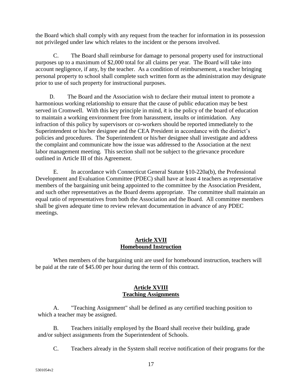the Board which shall comply with any request from the teacher for information in its possession not privileged under law which relates to the incident or the persons involved.

C. The Board shall reimburse for damage to personal property used for instructional purposes up to a maximum of \$2,000 total for all claims per year. The Board will take into account negligence, if any, by the teacher. As a condition of reimbursement, a teacher bringing personal property to school shall complete such written form as the administration may designate prior to use of such property for instructional purposes.

D. The Board and the Association wish to declare their mutual intent to promote a harmonious working relationship to ensure that the cause of public education may be best served in Cromwell. With this key principle in mind, it is the policy of the board of education to maintain a working environment free from harassment, insults or intimidation. Any infraction of this policy by supervisors or co-workers should be reported immediately to the Superintendent or his/her designee and the CEA President in accordance with the district's policies and procedures. The Superintendent or his/her designee shall investigate and address the complaint and communicate how the issue was addressed to the Association at the next labor management meeting. This section shall not be subject to the grievance procedure outlined in Article III of this Agreement.

E. In accordance with Connecticut General Statute §10-220a(b), the Professional Development and Evaluation Committee (PDEC) shall have at least 4 teachers as representative members of the bargaining unit being appointed to the committee by the Association President, and such other representatives as the Board deems appropriate. The committee shall maintain an equal ratio of representatives from both the Association and the Board. All committee members shall be given adequate time to review relevant documentation in advance of any PDEC meetings.

#### **Article XVII Homebound Instruction**

When members of the bargaining unit are used for homebound instruction, teachers will be paid at the rate of \$45.00 per hour during the term of this contract.

## **Article XVIII Teaching Assignments**

A. "Teaching Assignment" shall be defined as any certified teaching position to which a teacher may be assigned.

B. Teachers initially employed by the Board shall receive their building, grade and/or subject assignments from the Superintendent of Schools.

C. Teachers already in the System shall receive notification of their programs for the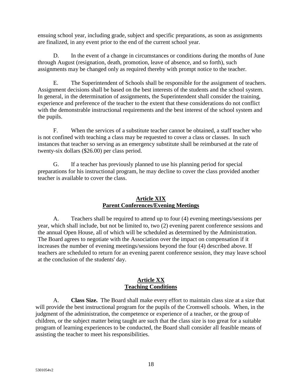ensuing school year, including grade, subject and specific preparations, as soon as assignments are finalized, in any event prior to the end of the current school year.

D. In the event of a change in circumstances or conditions during the months of June through August (resignation, death, promotion, leave of absence, and so forth), such assignments may be changed only as required thereby with prompt notice to the teacher.

E. The Superintendent of Schools shall be responsible for the assignment of teachers. Assignment decisions shall be based on the best interests of the students and the school system. In general, in the determination of assignments, the Superintendent shall consider the training, experience and preference of the teacher to the extent that these considerations do not conflict with the demonstrable instructional requirements and the best interest of the school system and the pupils.

F. When the services of a substitute teacher cannot be obtained, a staff teacher who is not confined with teaching a class may be requested to cover a class or classes. In such instances that teacher so serving as an emergency substitute shall be reimbursed at the rate of twenty-six dollars (\$26.00) per class period.

G. If a teacher has previously planned to use his planning period for special preparations for his instructional program, he may decline to cover the class provided another teacher is available to cover the class.

#### **Article XIX Parent Conferences/Evening Meetings**

A. Teachers shall be required to attend up to four (4) evening meetings/sessions per year, which shall include, but not be limited to, two (2) evening parent conference sessions and the annual Open House, all of which will be scheduled as determined by the Administration. The Board agrees to negotiate with the Association over the impact on compensation if it increases the number of evening meetings/sessions beyond the four (4) described above. If teachers are scheduled to return for an evening parent conference session, they may leave school at the conclusion of the students' day.

#### **Article XX Teaching Conditions**

A. **Class Size.** The Board shall make every effort to maintain class size at a size that will provide the best instructional program for the pupils of the Cromwell schools. When, in the judgment of the administration, the competence or experience of a teacher, or the group of children, or the subject matter being taught are such that the class size is too great for a suitable program of learning experiences to be conducted, the Board shall consider all feasible means of assisting the teacher to meet his responsibilities.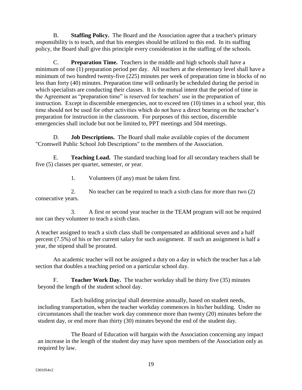B. **Staffing Policy.** The Board and the Association agree that a teacher's primary responsibility is to teach, and that his energies should be utilized to this end. In its staffing policy, the Board shall give this principle every consideration in the staffing of the schools.

C. **Preparation Time.** Teachers in the middle and high schools shall have a minimum of one (1) preparation period per day. All teachers at the elementary level shall have a minimum of two hundred twenty-five (225) minutes per week of preparation time in blocks of no less than forty (40) minutes. Preparation time will ordinarily be scheduled during the period in which specialists are conducting their classes. It is the mutual intent that the period of time in the Agreement as "preparation time" is reserved for teachers' use in the preparation of instruction. Except in discernible emergencies, not to exceed ten (10) times in a school year, this time should not be used for other activities which do not have a direct bearing on the teacher's preparation for instruction in the classroom. For purposes of this section, discernible emergencies shall include but not be limited to, PPT meetings and 504 meetings.

D. **Job Descriptions.** The Board shall make available copies of the document "Cromwell Public School Job Descriptions" to the members of the Association.

E. **Teaching Load.** The standard teaching load for all secondary teachers shall be five (5) classes per quarter, semester, or year.

1. Volunteers (if any) must be taken first.

2. No teacher can be required to teach a sixth class for more than two (2) consecutive years.

3. A first or second year teacher in the TEAM program will not be required nor can they volunteer to teach a sixth class.

A teacher assigned to teach a sixth class shall be compensated an additional seven and a half percent (7.5%) of his or her current salary for such assignment. If such an assignment is half a year, the stipend shall be prorated.

An academic teacher will not be assigned a duty on a day in which the teacher has a lab section that doubles a teaching period on a particular school day.

F. **Teacher Work Day.** The teacher workday shall be thirty five (35) minutes beyond the length of the student school day.

Each building principal shall determine annually, based on student needs, including transportation, when the teacher workday commences in his/her building. Under no circumstances shall the teacher work day commence more than twenty (20) minutes before the student day, or end more than thirty (30) minutes beyond the end of the student day.

The Board of Education will bargain with the Association concerning any impact an increase in the length of the student day may have upon members of the Association only as required by law.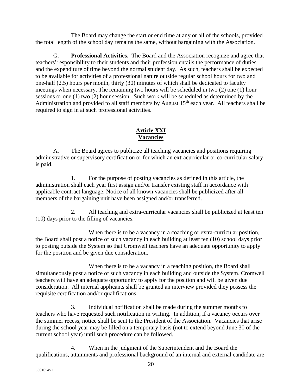The Board may change the start or end time at any or all of the schools, provided the total length of the school day remains the same, without bargaining with the Association.

G. **Professional Activities.** The Board and the Association recognize and agree that teachers' responsibility to their students and their profession entails the performance of duties and the expenditure of time beyond the normal student day. As such, teachers shall be expected to be available for activities of a professional nature outside regular school hours for two and one-half (2.5) hours per month, thirty (30) minutes of which shall be dedicated to faculty meetings when necessary. The remaining two hours will be scheduled in two (2) one (1) hour sessions or one (1) two (2) hour session. Such work will be scheduled as determined by the Administration and provided to all staff members by August  $15<sup>th</sup>$  each year. All teachers shall be required to sign in at such professional activities.

## **Article XXI Vacancies**

A. The Board agrees to publicize all teaching vacancies and positions requiring administrative or supervisory certification or for which an extracurricular or co-curricular salary is paid.

1. For the purpose of posting vacancies as defined in this article, the administration shall each year first assign and/or transfer existing staff in accordance with applicable contract language. Notice of all known vacancies shall be publicized after all members of the bargaining unit have been assigned and/or transferred.

2. All teaching and extra-curricular vacancies shall be publicized at least ten (10) days prior to the filling of vacancies.

When there is to be a vacancy in a coaching or extra-curricular position, the Board shall post a notice of such vacancy in each building at least ten (10) school days prior to posting outside the System so that Cromwell teachers have an adequate opportunity to apply for the position and be given due consideration.

When there is to be a vacancy in a teaching position, the Board shall simultaneously post a notice of such vacancy in each building and outside the System. Cromwell teachers will have an adequate opportunity to apply for the position and will be given due consideration. All internal applicants shall be granted an interview provided they possess the requisite certification and/or qualifications.

3. Individual notification shall be made during the summer months to teachers who have requested such notification in writing. In addition, if a vacancy occurs over the summer recess, notice shall be sent to the President of the Association. Vacancies that arise during the school year may be filled on a temporary basis (not to extend beyond June 30 of the current school year) until such procedure can be followed.

4. When in the judgment of the Superintendent and the Board the qualifications, attainments and professional background of an internal and external candidate are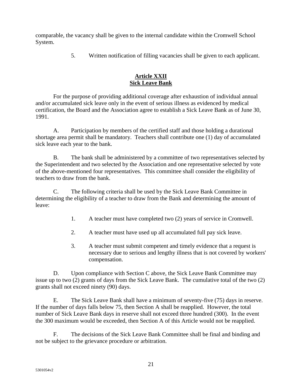comparable, the vacancy shall be given to the internal candidate within the Cromwell School System.

5. Written notification of filling vacancies shall be given to each applicant.

## **Article XXII Sick Leave Bank**

For the purpose of providing additional coverage after exhaustion of individual annual and/or accumulated sick leave only in the event of serious illness as evidenced by medical certification, the Board and the Association agree to establish a Sick Leave Bank as of June 30, 1991.

A. Participation by members of the certified staff and those holding a durational shortage area permit shall be mandatory. Teachers shall contribute one (1) day of accumulated sick leave each year to the bank.

B. The bank shall be administered by a committee of two representatives selected by the Superintendent and two selected by the Association and one representative selected by vote of the above-mentioned four representatives. This committee shall consider the eligibility of teachers to draw from the bank.

C. The following criteria shall be used by the Sick Leave Bank Committee in determining the eligibility of a teacher to draw from the Bank and determining the amount of leave:

- 1. A teacher must have completed two (2) years of service in Cromwell.
- 2. A teacher must have used up all accumulated full pay sick leave.
- 3. A teacher must submit competent and timely evidence that a request is necessary due to serious and lengthy illness that is not covered by workers' compensation.

D. Upon compliance with Section C above, the Sick Leave Bank Committee may issue up to two (2) grants of days from the Sick Leave Bank. The cumulative total of the two (2) grants shall not exceed ninety (90) days.

E. The Sick Leave Bank shall have a minimum of seventy-five (75) days in reserve. If the number of days falls below 75, then Section A shall be reapplied. However, the total number of Sick Leave Bank days in reserve shall not exceed three hundred (300). In the event the 300 maximum would be exceeded, then Section A of this Article would not be reapplied.

F. The decisions of the Sick Leave Bank Committee shall be final and binding and not be subject to the grievance procedure or arbitration.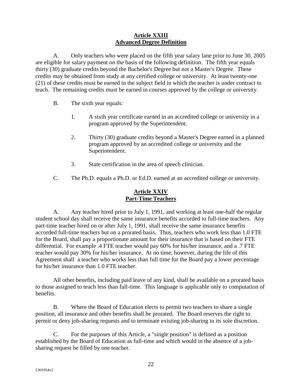#### **Article XXIII Advanced Degree Definition**

A. Only teachers who were placed on the fifth year salary lane prior to June 30, 2005 are eligible for salary payment on the basis of the following definition. The fifth year equals thirty (30) graduate credits beyond the Bachelor's Degree but not a Master's Degree. These credits may be obtained from study at any certified college or university. At least twenty-one (21) of these credits must be earned in the subject field in which the teacher is under contract to teach. The remaining credits must be earned in courses approved by the college or university.

- B. The sixth year equals:
	- 1. A sixth year certificate earned in an accredited college or university in a program approved by the Superintendent.
	- 2. Thirty (30) graduate credits beyond a Master's Degree earned in a planned program approved by an accredited college or university and the Superintendent.
	- 3. State certification in the area of speech clinician.
- C. The Ph.D. equals a Ph.D. or Ed.D. earned at an accredited college or university.

## **Article XXIV Part-Time Teachers**

A. Any teacher hired prior to July 1, 1991, and working at least one-half the regular student school day shall receive the same insurance benefits accorded to full-time teachers. Any part-time teacher hired on or after July 1, 1991, shall receive the same insurance benefits accorded full-time teachers but on a prorated basis. Thus, teachers who work less than 1.0 FTE for the Board, shall pay a proportionate amount for their insurance that is based on their FTE differential. For example .4 FTE teacher would pay 60% for his/her insurance, and a .7 FTE teacher would pay 30% for his/her insurance. At no time, however, during the life of this Agreement shall a teacher who works less than full time for the Board pay a lower percentage for his/her insurance than 1.0 FTE teacher.

All other benefits, including paid leave of any kind, shall be available on a prorated basis to those assigned to teach less than full-time. This language is applicable only to computation of benefits.

B. Where the Board of Education elects to permit two teachers to share a single position, all insurance and other benefits shall be prorated. The Board reserves the right to permit or deny job-sharing requests and to terminate existing job-sharing in its sole discretion.

C. For the purposes of this Article, a "single position" is defined as a position established by the Board of Education as full-time and which would in the absence of a jobsharing request be filled by one teacher.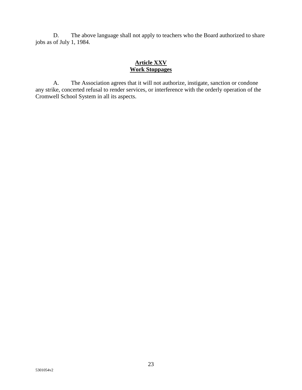D. The above language shall not apply to teachers who the Board authorized to share jobs as of July 1, 1984.

#### **Article XXV Work Stoppages**

A. The Association agrees that it will not authorize, instigate, sanction or condone any strike, concerted refusal to render services, or interference with the orderly operation of the Cromwell School System in all its aspects.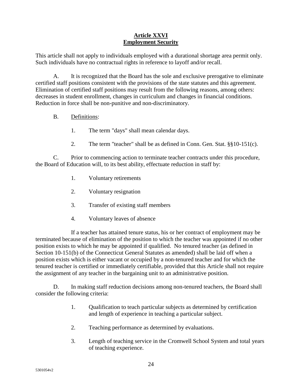## **Article XXVI Employment Security**

This article shall not apply to individuals employed with a durational shortage area permit only. Such individuals have no contractual rights in reference to layoff and/or recall.

A. It is recognized that the Board has the sole and exclusive prerogative to eliminate certified staff positions consistent with the provisions of the state statutes and this agreement. Elimination of certified staff positions may result from the following reasons, among others: decreases in student enrollment, changes in curriculum and changes in financial conditions. Reduction in force shall be non-punitive and non-discriminatory.

- B. Definitions:
	- 1. The term "days" shall mean calendar days.
	- 2. The term "teacher" shall be as defined in Conn. Gen. Stat. §§10-151(c).

C. Prior to commencing action to terminate teacher contracts under this procedure, the Board of Education will, to its best ability, effectuate reduction in staff by:

- 1. Voluntary retirements
- 2. Voluntary resignation
- 3. Transfer of existing staff members
- 4. Voluntary leaves of absence

If a teacher has attained tenure status, his or her contract of employment may be terminated because of elimination of the position to which the teacher was appointed if no other position exists to which he may be appointed if qualified. No tenured teacher (as defined in Section 10-151(b) of the Connecticut General Statutes as amended) shall be laid off when a position exists which is either vacant or occupied by a non-tenured teacher and for which the tenured teacher is certified or immediately certifiable, provided that this Article shall not require the assignment of any teacher in the bargaining unit to an administrative position.

D. In making staff reduction decisions among non-tenured teachers, the Board shall consider the following criteria:

- 1. Qualification to teach particular subjects as determined by certification and length of experience in teaching a particular subject.
- 2. Teaching performance as determined by evaluations.
- 3. Length of teaching service in the Cromwell School System and total years of teaching experience.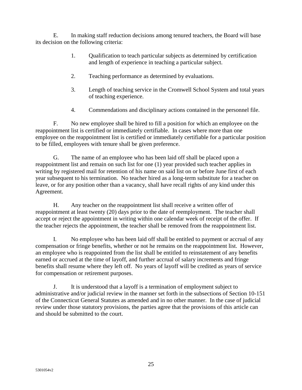E. In making staff reduction decisions among tenured teachers, the Board will base its decision on the following criteria:

- 1. Qualification to teach particular subjects as determined by certification and length of experience in teaching a particular subject.
- 2. Teaching performance as determined by evaluations.
- 3. Length of teaching service in the Cromwell School System and total years of teaching experience.
- 4. Commendations and disciplinary actions contained in the personnel file.

F. No new employee shall be hired to fill a position for which an employee on the reappointment list is certified or immediately certifiable. In cases where more than one employee on the reappointment list is certified or immediately certifiable for a particular position to be filled, employees with tenure shall be given preference.

G. The name of an employee who has been laid off shall be placed upon a reappointment list and remain on such list for one (1) year provided such teacher applies in writing by registered mail for retention of his name on said list on or before June first of each year subsequent to his termination. No teacher hired as a long-term substitute for a teacher on leave, or for any position other than a vacancy, shall have recall rights of any kind under this Agreement.

H. Any teacher on the reappointment list shall receive a written offer of reappointment at least twenty (20) days prior to the date of reemployment. The teacher shall accept or reject the appointment in writing within one calendar week of receipt of the offer. If the teacher rejects the appointment, the teacher shall be removed from the reappointment list.

I. No employee who has been laid off shall be entitled to payment or accrual of any compensation or fringe benefits, whether or not he remains on the reappointment list. However, an employee who is reappointed from the list shall be entitled to reinstatement of any benefits earned or accrued at the time of layoff, and further accrual of salary increments and fringe benefits shall resume where they left off. No years of layoff will be credited as years of service for compensation or retirement purposes.

J. It is understood that a layoff is a termination of employment subject to administrative and/or judicial review in the manner set forth in the subsections of Section 10-151 of the Connecticut General Statutes as amended and in no other manner. In the case of judicial review under those statutory provisions, the parties agree that the provisions of this article can and should be submitted to the court.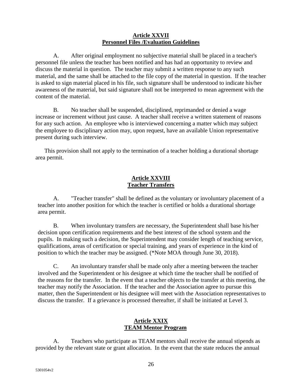#### **Article XXVII Personnel Files /Evaluation Guidelines**

A. After original employment no subjective material shall be placed in a teacher's personnel file unless the teacher has been notified and has had an opportunity to review and discuss the material in question. The teacher may submit a written response to any such material, and the same shall be attached to the file copy of the material in question. If the teacher is asked to sign material placed in his file, such signature shall be understood to indicate his/her awareness of the material, but said signature shall not be interpreted to mean agreement with the content of the material.

B. No teacher shall be suspended, disciplined, reprimanded or denied a wage increase or increment without just cause. A teacher shall receive a written statement of reasons for any such action. An employee who is interviewed concerning a matter which may subject the employee to disciplinary action may, upon request, have an available Union representative present during such interview.

This provision shall not apply to the termination of a teacher holding a durational shortage area permit.

## **Article XXVIII Teacher Transfers**

A. "Teacher transfer" shall be defined as the voluntary or involuntary placement of a teacher into another position for which the teacher is certified or holds a durational shortage area permit.

B. When involuntary transfers are necessary, the Superintendent shall base his/her decision upon certification requirements and the best interest of the school system and the pupils. In making such a decision, the Superintendent may consider length of teaching service, qualifications, areas of certification or special training, and years of experience in the kind of position to which the teacher may be assigned. (\*Note MOA through June 30, 2018).

C. An involuntary transfer shall be made only after a meeting between the teacher involved and the Superintendent or his designee at which time the teacher shall be notified of the reasons for the transfer. In the event that a teacher objects to the transfer at this meeting, the teacher may notify the Association. If the teacher and the Association agree to pursue this matter, then the Superintendent or his designee will meet with the Association representatives to discuss the transfer. If a grievance is processed thereafter, if shall be initiated at Level 3.

## **Article XXIX TEAM Mentor Program**

A. Teachers who participate as TEAM mentors shall receive the annual stipends as provided by the relevant state or grant allocation. In the event that the state reduces the annual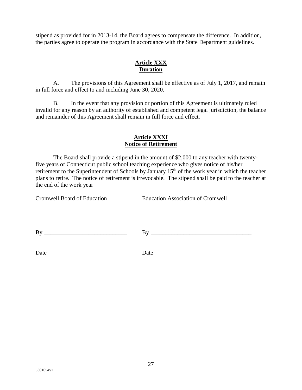stipend as provided for in 2013-14, the Board agrees to compensate the difference. In addition, the parties agree to operate the program in accordance with the State Department guidelines.

## **Article XXX Duration**

A. The provisions of this Agreement shall be effective as of July 1, 2017, and remain in full force and effect to and including June 30, 2020.

B. In the event that any provision or portion of this Agreement is ultimately ruled invalid for any reason by an authority of established and competent legal jurisdiction, the balance and remainder of this Agreement shall remain in full force and effect.

## **Article XXXI Notice of Retirement**

The Board shall provide a stipend in the amount of \$2,000 to any teacher with twentyfive years of Connecticut public school teaching experience who gives notice of his/her retirement to the Superintendent of Schools by January 15<sup>th</sup> of the work year in which the teacher plans to retire. The notice of retirement is irrevocable. The stipend shall be paid to the teacher at the end of the work year

Cromwell Board of Education Education Association of Cromwell

 $\n \ \, \mathrm{By} \,\,\underline{\hspace{1.5cm}}$ 

Date\_\_\_\_\_\_\_\_\_\_\_\_\_\_\_\_\_\_\_\_\_\_\_\_\_\_\_\_\_ Date\_\_\_\_\_\_\_\_\_\_\_\_\_\_\_\_\_\_\_\_\_\_\_\_\_\_\_\_\_\_\_\_\_\_\_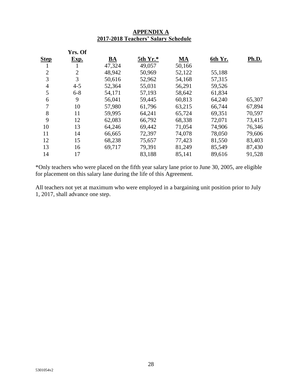|                | Yrs. Of        |                           |          |           |         |              |
|----------------|----------------|---------------------------|----------|-----------|---------|--------------|
| <b>Step</b>    | Exp.           | $\underline{\mathbf{BA}}$ | 5th Yr.* | <b>MA</b> | 6th Yr. | <b>Ph.D.</b> |
| 1              |                | 47,324                    | 49,057   | 50,166    |         |              |
| $\overline{2}$ | $\overline{2}$ | 48,942                    | 50,969   | 52,122    | 55,188  |              |
| 3              | 3              | 50,616                    | 52,962   | 54,168    | 57,315  |              |
| $\overline{4}$ | $4 - 5$        | 52,364                    | 55,031   | 56,291    | 59,526  |              |
| 5              | $6 - 8$        | 54,171                    | 57,193   | 58,642    | 61,834  |              |
| 6              | 9              | 56,041                    | 59,445   | 60,813    | 64,240  | 65,307       |
| 7              | 10             | 57,980                    | 61,796   | 63,215    | 66,744  | 67,894       |
| 8              | 11             | 59,995                    | 64,241   | 65,724    | 69,351  | 70,597       |
| 9              | 12             | 62,083                    | 66,792   | 68,338    | 72,071  | 73,415       |
| 10             | 13             | 64,246                    | 69,442   | 71,054    | 74,906  | 76,346       |
| 11             | 14             | 66,665                    | 72,397   | 74,078    | 78,050  | 79,606       |
| 12             | 15             | 68,238                    | 75,657   | 77,423    | 81,550  | 83,403       |
| 13             | 16             | 69,717                    | 79,391   | 81,249    | 85,549  | 87,430       |
| 14             | 17             |                           | 83,188   | 85,141    | 89,616  | 91,528       |
|                |                |                           |          |           |         |              |

## **APPENDIX A 2017-2018 Teachers' Salary Schedule**

\*Only teachers who were placed on the fifth year salary lane prior to June 30, 2005, are eligible for placement on this salary lane during the life of this Agreement.

All teachers not yet at maximum who were employed in a bargaining unit position prior to July 1, 2017, shall advance one step.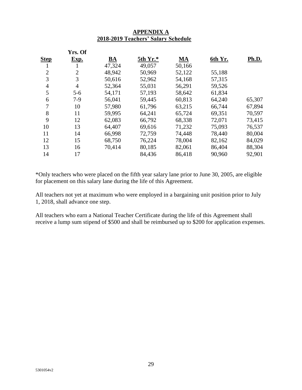|                | Yrs. Of        |        |          |        |         |        |
|----------------|----------------|--------|----------|--------|---------|--------|
| <b>Step</b>    | Exp.           | BA     | 5th Yr.* | MA     | 6th Yr. | Ph.D.  |
| 1              | 1              | 47,324 | 49,057   | 50,166 |         |        |
| $\overline{2}$ | $\overline{2}$ | 48,942 | 50,969   | 52,122 | 55,188  |        |
| 3              | 3              | 50,616 | 52,962   | 54,168 | 57,315  |        |
| $\overline{4}$ | $\overline{4}$ | 52,364 | 55,031   | 56,291 | 59,526  |        |
| 5              | $5 - 6$        | 54,171 | 57,193   | 58,642 | 61,834  |        |
| 6              | $7-9$          | 56,041 | 59,445   | 60,813 | 64,240  | 65,307 |
| $\overline{7}$ | 10             | 57,980 | 61,796   | 63,215 | 66,744  | 67,894 |
| 8              | 11             | 59,995 | 64,241   | 65,724 | 69,351  | 70,597 |
| 9              | 12             | 62,083 | 66,792   | 68,338 | 72,071  | 73,415 |
| 10             | 13             | 64,407 | 69,616   | 71,232 | 75,093  | 76,537 |
| 11             | 14             | 66,998 | 72,759   | 74,448 | 78,440  | 80,004 |
| 12             | 15             | 68,750 | 76,224   | 78,004 | 82,162  | 84,029 |
| 13             | 16             | 70,414 | 80,185   | 82,061 | 86,404  | 88,304 |
| 14             | 17             |        | 84,436   | 86,418 | 90,960  | 92,901 |

#### **APPENDIX A 2018-2019 Teachers' Salary Schedule**

\*Only teachers who were placed on the fifth year salary lane prior to June 30, 2005, are eligible for placement on this salary lane during the life of this Agreement.

All teachers not yet at maximum who were employed in a bargaining unit position prior to July 1, 2018, shall advance one step.

All teachers who earn a National Teacher Certificate during the life of this Agreement shall receive a lump sum stipend of \$500 and shall be reimbursed up to \$200 for application expenses.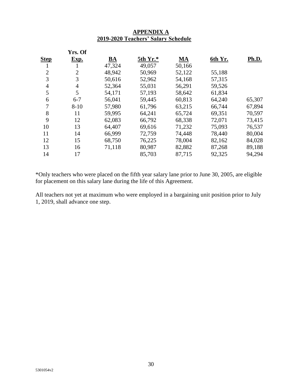|                | Yrs. Of        |           |          |        |         |        |
|----------------|----------------|-----------|----------|--------|---------|--------|
| <b>Step</b>    | Exp.           | <u>BA</u> | 5th Yr.* | MA     | 6th Yr. | Ph.D.  |
| 1              | 1              | 47,324    | 49,057   | 50,166 |         |        |
| $\overline{2}$ | $\overline{2}$ | 48,942    | 50,969   | 52,122 | 55,188  |        |
| 3              | 3              | 50,616    | 52,962   | 54,168 | 57,315  |        |
| 4              | 4              | 52,364    | 55,031   | 56,291 | 59,526  |        |
| 5              | 5              | 54,171    | 57,193   | 58,642 | 61,834  |        |
| 6              | $6 - 7$        | 56,041    | 59,445   | 60,813 | 64,240  | 65,307 |
| 7              | $8 - 10$       | 57,980    | 61,796   | 63,215 | 66,744  | 67,894 |
| 8              | 11             | 59,995    | 64,241   | 65,724 | 69,351  | 70,597 |
| 9              | 12             | 62,083    | 66,792   | 68,338 | 72,071  | 73,415 |
| 10             | 13             | 64,407    | 69,616   | 71,232 | 75,093  | 76,537 |
| 11             | 14             | 66,999    | 72,759   | 74,448 | 78,440  | 80,004 |
| 12             | 15             | 68,750    | 76,225   | 78,004 | 82,162  | 84,028 |
| 13             | 16             | 71,118    | 80,987   | 82,882 | 87,268  | 89,188 |
| 14             | 17             |           | 85,703   | 87,715 | 92,325  | 94,294 |

## **APPENDIX A 2019-2020 Teachers' Salary Schedule**

\*Only teachers who were placed on the fifth year salary lane prior to June 30, 2005, are eligible for placement on this salary lane during the life of this Agreement.

All teachers not yet at maximum who were employed in a bargaining unit position prior to July 1, 2019, shall advance one step.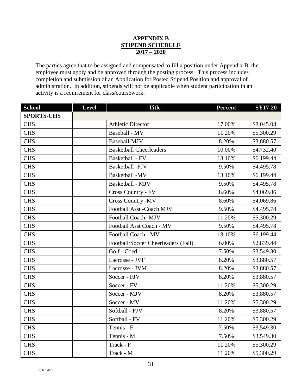## **APPENDIX B STIPEND SCHEDULE 2017 – 2020**

The parties agree that to be assigned and compensated to fill a position under Appendix B, the employee must apply and be approved through the posting process. This process includes completion and submission of an Application for Posted Stipend Position and approval of administration. In addition, stipends will not be applicable when student participation in an activity is a requirement for class/coursework.

| <b>School</b>     | <b>Level</b> | <b>Title</b>                        | <b>Percent</b> | <b>SY17-20</b> |
|-------------------|--------------|-------------------------------------|----------------|----------------|
| <b>SPORTS-CHS</b> |              |                                     |                |                |
| <b>CHS</b>        |              | <b>Athletic Director</b>            | 17.00%         | \$8,045.08     |
| <b>CHS</b>        |              | Baseball - MV                       | 11.20%         | \$5,300.29     |
| <b>CHS</b>        |              | Baseball-MJV                        | 8.20%          | \$3,880.57     |
| <b>CHS</b>        |              | <b>Basketball Cheerleaders</b>      | 10.00%         | \$4,732.40     |
| <b>CHS</b>        |              | Basketball - FV                     | 13.10%         | \$6,199.44     |
| <b>CHS</b>        |              | <b>Basketball-FJV</b>               | 9.50%          | \$4,495.78     |
| <b>CHS</b>        |              | Basketball -MV                      | 13.10%         | \$6,199.44     |
| <b>CHS</b>        |              | Basketball - MJV                    | 9.50%          | \$4,495.78     |
| <b>CHS</b>        |              | Cross Country - FV                  | 8.60%          | \$4,069.86     |
| <b>CHS</b>        |              | <b>Cross Country -MV</b>            | 8.60%          | \$4,069.86     |
| <b>CHS</b>        |              | Football Asst -Coach MJV            | 9.50%          | \$4,495.78     |
| <b>CHS</b>        |              | Football Coach-MJV                  | 11.20%         | \$5,300.29     |
| <b>CHS</b>        |              | Football Asst Coach - MV            | 9.50%          | \$4,495.78     |
| <b>CHS</b>        |              | Football Coach - MV                 | 13.10%         | \$6,199.44     |
| <b>CHS</b>        |              | Football/Soccer Cheerleaders (Fall) | 6.00%          | \$2,839.44     |
| <b>CHS</b>        |              | Golf - Coed                         | 7.50%          | \$3,549.30     |
| <b>CHS</b>        |              | Lacrosse - JVF                      | 8.20%          | \$3,880.57     |
| <b>CHS</b>        |              | Lacrosse - JVM                      | 8.20%          | \$3,880.57     |
| <b>CHS</b>        |              | Soccer - FJV                        | 8.20%          | \$3,880.57     |
| <b>CHS</b>        |              | Soccer - FV                         | 11.20%         | \$5,300.29     |
| <b>CHS</b>        |              | Soccer - MJV                        | 8.20%          | \$3,880.57     |
| <b>CHS</b>        |              | Soccer - MV                         | 11.20%         | \$5,300.29     |
| <b>CHS</b>        |              | Softball - FJV                      | 8.20%          | \$3,880.57     |
| <b>CHS</b>        |              | Softball - FV                       | 11.20%         | \$5,300.29     |
| <b>CHS</b>        |              | Tennis - F                          | 7.50%          | \$3,549.30     |
| <b>CHS</b>        |              | Tennis - M                          | 7.50%          | \$3,549.30     |
| <b>CHS</b>        |              | Track - F                           | 11.20%         | \$5,300.29     |
| <b>CHS</b>        |              | Track - M                           | 11.20%         | \$5,300.29     |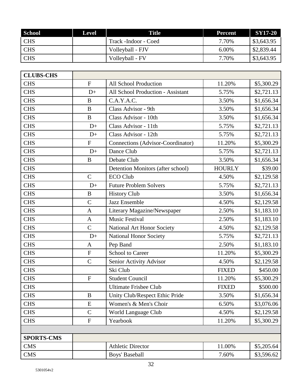| <b>School</b> | <b>Level</b> | Title                 | <b>Percent</b> | SY17-20    |
|---------------|--------------|-----------------------|----------------|------------|
| <b>CHS</b>    |              | Track - Indoor - Coed | 7.70%          | \$3,643.95 |
| <b>CHS</b>    |              | Volleyball - FJV      | 6.00%          | \$2,839.44 |
| <b>CHS</b>    |              | Volleyball - FV       | 7.70%          | \$3,643.95 |

| <b>CLUBS-CHS</b>  |                       |                                   |               |            |
|-------------------|-----------------------|-----------------------------------|---------------|------------|
| <b>CHS</b>        | $\mathbf{F}$          | <b>All School Production</b>      | 11.20%        | \$5,300.29 |
| <b>CHS</b>        | $D+$                  | All School Production - Assistant | 5.75%         | \$2,721.13 |
| <b>CHS</b>        | $\bf{B}$              | C.A.Y.A.C.                        | 3.50%         | \$1,656.34 |
| <b>CHS</b>        | $\, {\bf B}$          | Class Advisor - 9th               | 3.50%         | \$1,656.34 |
| <b>CHS</b>        | $\, {\bf B}$          | Class Advisor - 10th              | 3.50%         | \$1,656.34 |
| <b>CHS</b>        | $D+$                  | Class Advisor - 11th              | 5.75%         | \$2,721.13 |
| <b>CHS</b>        | $D+$                  | Class Advisor - 12th              | 5.75%         | \$2,721.13 |
| <b>CHS</b>        | ${\bf F}$             | Connections (Advisor-Coordinator) | 11.20%        | \$5,300.29 |
| <b>CHS</b>        | $D+$                  | Dance Club                        | 5.75%         | \$2,721.13 |
| <b>CHS</b>        | $\bf{B}$              | Debate Club                       | 3.50%         | \$1,656.34 |
| <b>CHS</b>        |                       | Detention Monitors (after school) | <b>HOURLY</b> | \$39.00    |
| <b>CHS</b>        | $\mathcal{C}$         | <b>ECO Club</b>                   | 4.50%         | \$2,129.58 |
| <b>CHS</b>        | $D+$                  | <b>Future Problem Solvers</b>     | 5.75%         | \$2,721.13 |
| <b>CHS</b>        | $\, {\bf B}$          | <b>History Club</b>               | 3.50%         | \$1,656.34 |
| <b>CHS</b>        | $\overline{C}$        | <b>Jazz Ensemble</b>              | 4.50%         | \$2,129.58 |
| <b>CHS</b>        | $\mathbf{A}$          | Literary Magazine/Newspaper       | 2.50%         | \$1,183.10 |
| <b>CHS</b>        | $\mathbf{A}$          | Music Festival                    | 2.50%         | \$1,183.10 |
| <b>CHS</b>        | $\overline{C}$        | National Art Honor Society        | 4.50%         | \$2,129.58 |
| <b>CHS</b>        | $D+$                  | <b>National Honor Society</b>     | 5.75%         | \$2,721.13 |
| <b>CHS</b>        | $\mathbf{A}$          | Pep Band                          | 2.50%         | \$1,183.10 |
| <b>CHS</b>        | ${\bf F}$             | <b>School to Career</b>           | 11.20%        | \$5,300.29 |
| <b>CHS</b>        | $\overline{C}$        | Senior Activity Advisor           | 4.50%         | \$2,129.58 |
| <b>CHS</b>        |                       | Ski Club                          | <b>FIXED</b>  | \$450.00   |
| <b>CHS</b>        | ${\bf F}$             | <b>Student Council</b>            | 11.20%        | \$5,300.29 |
| <b>CHS</b>        |                       | <b>Ultimate Frisbee Club</b>      | <b>FIXED</b>  | \$500.00   |
| <b>CHS</b>        | B                     | Unity Club/Respect Ethic Pride    | 3.50%         | \$1,656.34 |
| <b>CHS</b>        | ${\bf E}$             | Women's & Men's Choir             | 6.50%         | \$3,076.06 |
| <b>CHS</b>        | $\mathcal{C}$         | World Language Club               | 4.50%         | \$2,129.58 |
| <b>CHS</b>        | Yearbook<br>${\bf F}$ |                                   | 11.20%        | \$5,300.29 |
|                   |                       |                                   |               |            |
| <b>SPORTS-CMS</b> |                       |                                   |               |            |
| <b>CMS</b>        |                       | <b>Athletic Director</b>          | 11.00%        | \$5,205.64 |
| <b>CMS</b>        | Boys' Baseball        |                                   | 7.60%         | \$3,596.62 |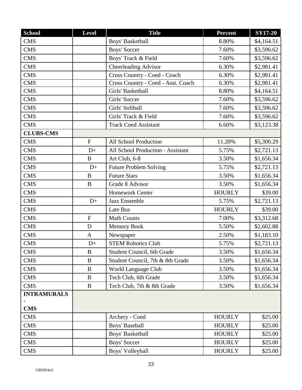| <b>School</b>      | Level               | <b>Title</b>                       | <b>Percent</b> | <b>SY17-20</b> |
|--------------------|---------------------|------------------------------------|----------------|----------------|
| <b>CMS</b>         |                     | Boys' Basketball                   | 8.80%          | \$4,164.51     |
| <b>CMS</b>         |                     | <b>Boys' Soccer</b>                | 7.60%          | \$3,596.62     |
| <b>CMS</b>         |                     | Boys' Track & Field                | 7.60%          | \$3,596.62     |
| <b>CMS</b>         |                     | <b>Cheerleading Advisor</b>        | 6.30%          | \$2,981.41     |
| <b>CMS</b>         |                     | Cross Country - Coed - Coach       | 6.30%          | \$2,981.41     |
| <b>CMS</b>         |                     | Cross Country - Coed - Asst. Coach | 6.30%          | \$2,981.41     |
| <b>CMS</b>         |                     | Girls' Basketball                  | 8.80%          | \$4,164.51     |
| <b>CMS</b>         |                     | Girls' Soccer                      | 7.60%          | \$3,596.62     |
| <b>CMS</b>         |                     | Girls' Softball                    | 7.60%          | \$3,596.62     |
| <b>CMS</b>         |                     | Girls' Track & Field               | 7.60%          | \$3,596.62     |
| <b>CMS</b>         |                     | <b>Track Coed Assistant</b>        | 6.60%          | \$3,123.38     |
| <b>CLUBS-CMS</b>   |                     |                                    |                |                |
| <b>CMS</b>         | ${\bf F}$           | All School Production              | 11.20%         | \$5,300.29     |
| <b>CMS</b>         | $D+$                | All School Production - Assistant  | 5.75%          | \$2,721.13     |
| <b>CMS</b>         | $\, {\bf B}$        | Art Club, 6-8                      | 3.50%          | \$1,656.34     |
| <b>CMS</b>         | $D+$                | <b>Future Problem Solving</b>      | 5.75%          | \$2,721.13     |
| <b>CMS</b>         | $\, {\bf B}$        | <b>Future Stars</b>                | 3.50%          | \$1,656.34     |
| <b>CMS</b>         | $\bf{B}$            | Grade 8 Advisor                    | 3.50%          | \$1,656.34     |
| <b>CMS</b>         |                     | <b>Homework Center</b>             | <b>HOURLY</b>  | \$39.00        |
| <b>CMS</b>         | $D+$                | <b>Jazz Ensemble</b>               | 5.75%          | \$2,721.13     |
| <b>CMS</b>         |                     | Late Bus                           | <b>HOURLY</b>  | \$39.00        |
| <b>CMS</b>         | ${\bf F}$           | <b>Math Counts</b>                 | 7.00%          | \$3,312.68     |
| <b>CMS</b>         | D                   | <b>Memory Book</b>                 | 5.50%          | \$2,602.88     |
| <b>CMS</b>         | $\mathbf{A}$        | Newspaper                          | 2.50%          | \$1,183.10     |
| <b>CMS</b>         | $D+$                | <b>STEM Robotics Club</b>          | 5.75%          | \$2,721.13     |
| <b>CMS</b>         | $\mathbf B$         | Student Council, 6th Grade         | 3.50%          | \$1,656.34     |
| <b>CMS</b>         | $\boldsymbol{B}$    | Student Council, 7th & 8th Grade   | 3.50%          | \$1,656.34     |
| <b>CMS</b>         | $\bf{B}$            | World Language Club                | 3.50%          | \$1,656.34     |
| <b>CMS</b>         | $\bf{B}$            | Tech Club, 6th Grade               | 3.50%          | \$1,656.34     |
| <b>CMS</b>         | $\bf{B}$            | Tech Club, 7th & 8th Grade         | 3.50%          | \$1,656.34     |
| <b>INTRAMURALS</b> |                     |                                    |                |                |
|                    |                     |                                    |                |                |
| <b>CMS</b>         |                     |                                    |                |                |
| <b>CMS</b>         |                     | Archery - Coed                     | <b>HOURLY</b>  | \$25.00        |
| <b>CMS</b>         | Boys' Baseball      |                                    | <b>HOURLY</b>  | \$25.00        |
| <b>CMS</b>         | Boys' Basketball    |                                    | <b>HOURLY</b>  | \$25.00        |
| <b>CMS</b>         | <b>Boys' Soccer</b> |                                    | <b>HOURLY</b>  | \$25.00        |
| <b>CMS</b>         | Boys' Volleyball    |                                    | <b>HOURLY</b>  | \$25.00        |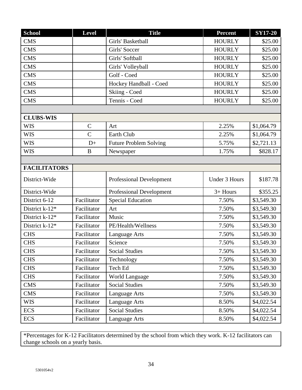| <b>School</b>       | <b>Level</b>                         | <b>Title</b>                    | <b>Percent</b> | <b>SY17-20</b> |
|---------------------|--------------------------------------|---------------------------------|----------------|----------------|
| <b>CMS</b>          | Girls' Basketball                    |                                 | <b>HOURLY</b>  | \$25.00        |
| <b>CMS</b>          |                                      | Girls' Soccer                   | <b>HOURLY</b>  | \$25.00        |
| <b>CMS</b>          |                                      | Girls' Softball                 | <b>HOURLY</b>  | \$25.00        |
| <b>CMS</b>          |                                      | Girls' Volleyball               | <b>HOURLY</b>  | \$25.00        |
| <b>CMS</b>          |                                      | Golf - Coed                     | <b>HOURLY</b>  | \$25.00        |
| <b>CMS</b>          |                                      | Hockey Handball - Coed          | <b>HOURLY</b>  | \$25.00        |
| <b>CMS</b>          |                                      | Skiing - Coed                   | <b>HOURLY</b>  | \$25.00        |
| <b>CMS</b>          |                                      | Tennis - Coed                   | <b>HOURLY</b>  | \$25.00        |
|                     |                                      |                                 |                |                |
| <b>CLUBS-WIS</b>    |                                      |                                 |                |                |
| <b>WIS</b>          | $\mathbf C$                          | Art                             | 2.25%          | \$1,064.79     |
| <b>WIS</b>          | $\overline{C}$                       | Earth Club                      | 2.25%          | \$1,064.79     |
| <b>WIS</b>          | $D+$                                 | <b>Future Problem Solving</b>   | 5.75%          | \$2,721.13     |
| <b>WIS</b>          | $\bf{B}$                             | 1.75%<br>Newspaper              |                | \$828.17       |
|                     |                                      |                                 |                |                |
| <b>FACILITATORS</b> |                                      |                                 |                |                |
| District-Wide       |                                      | <b>Professional Development</b> | Under 3 Hours  | \$187.78       |
| District-Wide       |                                      | Professional Development        | $3+$ Hours     | \$355.25       |
| District 6-12       | Facilitator                          | <b>Special Education</b>        | 7.50%          | \$3,549.30     |
| District k-12*      | Facilitator                          | Art                             | 7.50%          | \$3,549.30     |
| District k-12*      | Facilitator                          | Music                           | 7.50%          | \$3,549.30     |
| District k-12*      | Facilitator                          | PE/Health/Wellness              | 7.50%          | \$3,549.30     |
| <b>CHS</b>          | Facilitator                          | Language Arts                   | 7.50%          | \$3,549.30     |
| <b>CHS</b>          | Facilitator                          | Science                         | 7.50%          | \$3,549.30     |
| <b>CHS</b>          | Facilitator                          | <b>Social Studies</b>           | 7.50%          | \$3,549.30     |
| <b>CHS</b>          | Facilitator                          | Technology                      | 7.50%          | \$3,549.30     |
| <b>CHS</b>          | Facilitator                          | Tech Ed                         | 7.50%          | \$3,549.30     |
| <b>CHS</b>          | Facilitator                          | World Language                  | 7.50%          | \$3,549.30     |
| <b>CMS</b>          | Facilitator                          | <b>Social Studies</b>           | 7.50%          | \$3,549.30     |
| <b>CMS</b>          | Facilitator<br>Language Arts         |                                 | 7.50%          | \$3,549.30     |
| <b>WIS</b>          | Language Arts<br>Facilitator         |                                 | 8.50%          | \$4,022.54     |
| <b>ECS</b>          | <b>Social Studies</b><br>Facilitator |                                 | 8.50%          | \$4,022.54     |
| <b>ECS</b>          | Facilitator<br>Language Arts         |                                 | 8.50%          | \$4,022.54     |

\*Percentages for K-12 Facilitators determined by the school from which they work. K-12 facilitators can change schools on a yearly basis.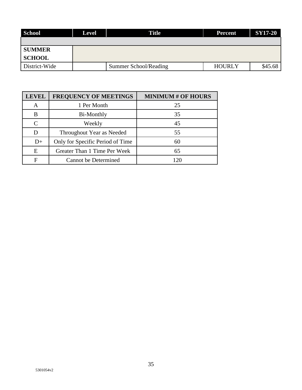| School        | <b>Level</b> | <b>Title</b><br><b>Percent</b> |               | SY17-20 |
|---------------|--------------|--------------------------------|---------------|---------|
|               |              |                                |               |         |
| <b>SUMMER</b> |              |                                |               |         |
| <b>SCHOOL</b> |              |                                |               |         |
| District-Wide |              | Summer School/Reading          | <b>HOURLY</b> | \$45.68 |

| <b>LEVEL</b> | <b>FREQUENCY OF MEETINGS</b>     | <b>MINIMUM # OF HOURS</b> |
|--------------|----------------------------------|---------------------------|
| A            | 1 Per Month                      | 25                        |
| B            | Bi-Monthly                       | 35                        |
| C            | Weekly                           | 45                        |
|              | Throughout Year as Needed        | 55                        |
| $D+$         | Only for Specific Period of Time | 60                        |
| E            | Greater Than 1 Time Per Week     | 65                        |
| F            | <b>Cannot be Determined</b>      | 120                       |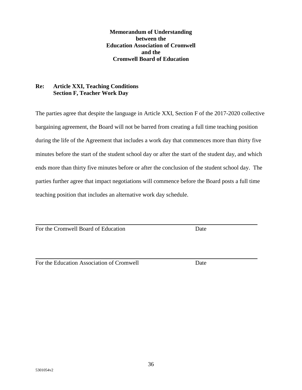**Memorandum of Understanding between the Education Association of Cromwell and the Cromwell Board of Education**

#### **Re: Article XXI, Teaching Conditions Section F, Teacher Work Day**

The parties agree that despite the language in Article XXI, Section F of the 2017-2020 collective bargaining agreement, the Board will not be barred from creating a full time teaching position during the life of the Agreement that includes a work day that commences more than thirty five minutes before the start of the student school day or after the start of the student day, and which ends more than thirty five minutes before or after the conclusion of the student school day. The parties further agree that impact negotiations will commence before the Board posts a full time teaching position that includes an alternative work day schedule.

For the Cromwell Board of Education Date

For the Education Association of Cromwell Date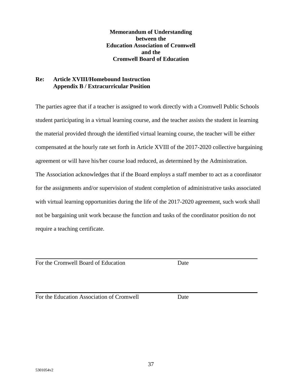**Memorandum of Understanding between the Education Association of Cromwell and the Cromwell Board of Education**

## **Re: Article XVIII/Homebound Instruction Appendix B / Extracurricular Position**

The parties agree that if a teacher is assigned to work directly with a Cromwell Public Schools student participating in a virtual learning course, and the teacher assists the student in learning the material provided through the identified virtual learning course, the teacher will be either compensated at the hourly rate set forth in Article XVIII of the 2017-2020 collective bargaining agreement or will have his/her course load reduced, as determined by the Administration. The Association acknowledges that if the Board employs a staff member to act as a coordinator for the assignments and/or supervision of student completion of administrative tasks associated with virtual learning opportunities during the life of the 2017-2020 agreement, such work shall not be bargaining unit work because the function and tasks of the coordinator position do not require a teaching certificate.

For the Cromwell Board of Education Date

For the Education Association of Cromwell Date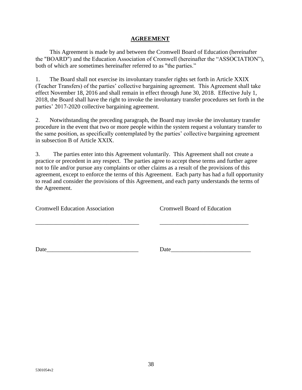#### **AGREEMENT**

This Agreement is made by and between the Cromwell Board of Education (hereinafter the "BOARD") and the Education Association of Cromwell (hereinafter the "ASSOCIATION"), both of which are sometimes hereinafter referred to as "the parties."

1. The Board shall not exercise its involuntary transfer rights set forth in Article XXIX (Teacher Transfers) of the parties' collective bargaining agreement. This Agreement shall take effect November 18, 2016 and shall remain in effect through June 30, 2018. Effective July 1, 2018, the Board shall have the right to invoke the involuntary transfer procedures set forth in the parties' 2017-2020 collective bargaining agreement.

2. Notwithstanding the preceding paragraph, the Board may invoke the involuntary transfer procedure in the event that two or more people within the system request a voluntary transfer to the same position, as specifically contemplated by the parties' collective bargaining agreement in subsection B of Article XXIX.

3. The parties enter into this Agreement voluntarily. This Agreement shall not create a practice or precedent in any respect. The parties agree to accept these terms and further agree not to file and/or pursue any complaints or other claims as a result of the provisions of this agreement, except to enforce the terms of this Agreement. Each party has had a full opportunity to read and consider the provisions of this Agreement, and each party understands the terms of the Agreement.

\_\_\_\_\_\_\_\_\_\_\_\_\_\_\_\_\_\_\_\_\_\_\_\_\_\_\_\_\_\_\_\_\_\_\_ \_\_\_\_\_\_\_\_\_\_\_\_\_\_\_\_\_\_\_\_\_\_\_\_\_\_\_\_\_\_

Cromwell Education Association Cromwell Board of Education

Date **Date**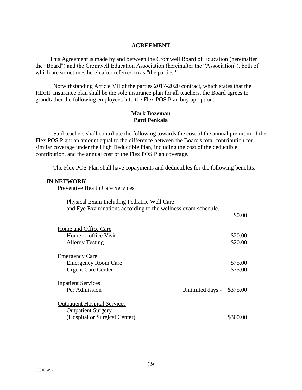#### **AGREEMENT**

This Agreement is made by and between the Cromwell Board of Education (hereinafter the "Board") and the Cromwell Education Association (hereinafter the "Association"), both of which are sometimes hereinafter referred to as "the parties."

Notwithstanding Article VII of the parties 2017-2020 contract, which states that the HDHP Insurance plan shall be the sole insurance plan for all teachers, the Board agrees to grandfather the following employees into the Flex POS Plan buy up option:

#### **Mark Bozeman Patti Penkala**

Said teachers shall contribute the following towards the cost of the annual premium of the Flex POS Plan: an amount equal to the difference between the Board's total contribution for similar coverage under the High Deductible Plan, including the cost of the deductible contribution, and the annual cost of the Flex POS Plan coverage.

The Flex POS Plan shall have copayments and deductibles for the following benefits:

#### **IN NETWORK**

Preventive Health Care Services

| Physical Exam Including Pediatric Well Care<br>and Eye Examinations according to the wellness exam schedule. |                  |          |
|--------------------------------------------------------------------------------------------------------------|------------------|----------|
|                                                                                                              |                  | \$0.00   |
| Home and Office Care                                                                                         |                  |          |
| Home or office Visit                                                                                         |                  | \$20.00  |
| <b>Allergy Testing</b>                                                                                       |                  | \$20.00  |
| Emergency Care                                                                                               |                  |          |
| <b>Emergency Room Care</b>                                                                                   |                  | \$75.00  |
| <b>Urgent Care Center</b>                                                                                    |                  | \$75.00  |
| <b>Inpatient Services</b>                                                                                    |                  |          |
| Per Admission                                                                                                | Unlimited days - | \$375.00 |
| <b>Outpatient Hospital Services</b>                                                                          |                  |          |
| <b>Outpatient Surgery</b>                                                                                    |                  |          |
| (Hospital or Surgical Center)                                                                                |                  | \$300.00 |